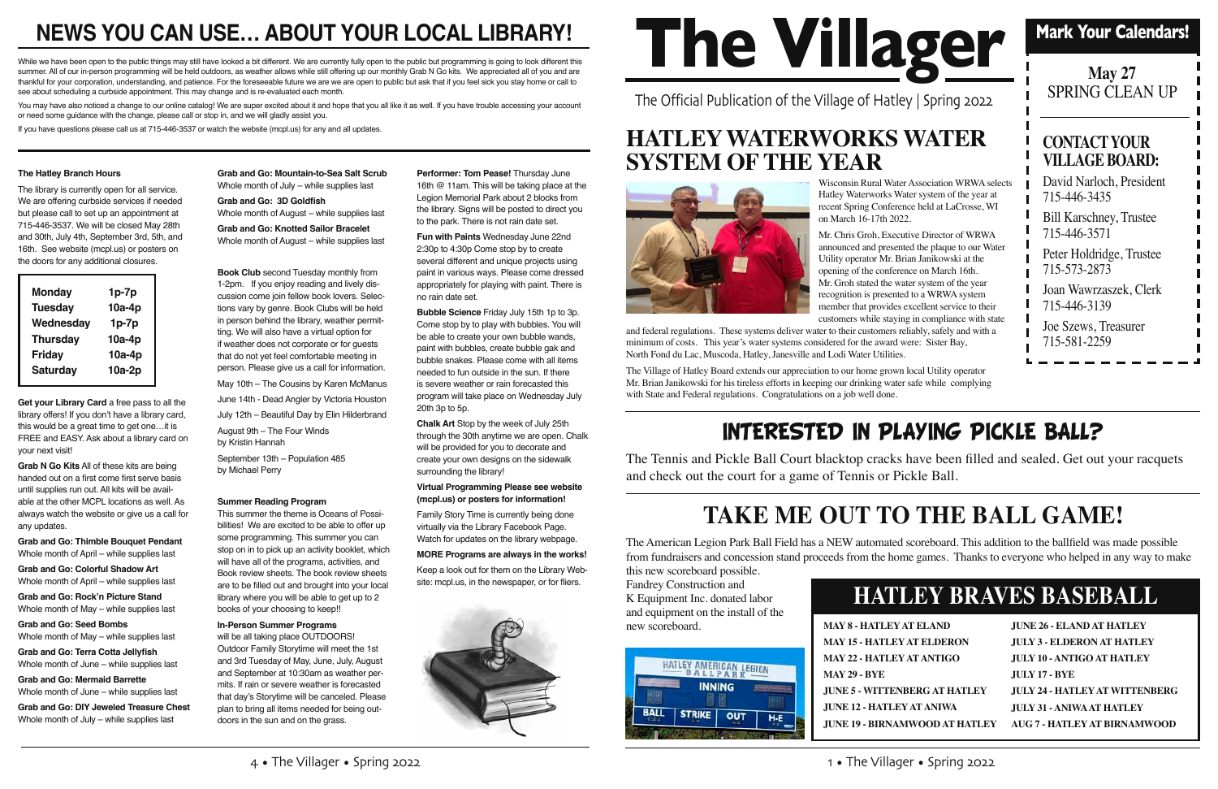The Official Publication of the Village of Hatley | Spring 2022



### **Mark Your Calendars!**

| <b>May 27</b><br><b>SPRING CLEAN UP</b>        |  |  |
|------------------------------------------------|--|--|
| <b>CONTACT YOUR</b><br><b>VILLAGE BOARD:</b>   |  |  |
| David Narloch, President<br>715-446-3435       |  |  |
| <b>Bill Karschney, Trustee</b><br>715-446-3571 |  |  |
| Peter Holdridge, Trustee<br>715-573-2873       |  |  |
| Joan Wawrzaszek, Clerk<br>715-446-3139         |  |  |
| Joe Szews, Treasurer<br>715-581-2259           |  |  |
|                                                |  |  |

#### **The Hatley Branch Hours**

The library is currently open for all service. We are offering curbside services if needed but please call to set up an appointment at 715-446-3537. We will be closed May 28th and 30th, July 4th, September 3rd, 5th, and 16th. See website (mcpl.us) or posters on the doors for any additional closures.

**Get your Library Card** a free pass to all the library offers! If you don't have a library card, this would be a great time to get one…it is FREE and EASY. Ask about a library card on your next visit!

**Grab N Go Kits** All of these kits are being handed out on a first come first serve basis until supplies run out. All kits will be available at the other MCPL locations as well. As always watch the website or give us a call for any updates.

**Grab and Go: Thimble Bouquet Pendant** Whole month of April – while supplies last

**Grab and Go: Colorful Shadow Art**  Whole month of April – while supplies last

**Grab and Go: Rock'n Picture Stand**  Whole month of May – while supplies last

**Grab and Go: Seed Bombs**  Whole month of May – while supplies last

**Grab and Go: Terra Cotta Jellyfish**  Whole month of June – while supplies last

**Grab and Go: Mermaid Barrette**  Whole month of June – while supplies last

**Grab and Go: DIY Jeweled Treasure Chest**  Whole month of July – while supplies last

**Performer: Tom Pease!** Thursday June 16th @ 11am. This will be taking place at the Legion Memorial Park about 2 blocks from the library. Signs will be posted to direct you to the park. There is not rain date set.

**Grab and Go: Mountain-to-Sea Salt Scrub**  Whole month of July – while supplies last

**Grab and Go: 3D Goldfish** Whole month of August – while supplies last

**Grab and Go: Knotted Sailor Bracelet**  Whole month of August – while supplies last

**Book Club** second Tuesday monthly from 1-2pm. If you enjoy reading and lively discussion come join fellow book lovers. Selections vary by genre. Book Clubs will be held in person behind the library, weather permitting. We will also have a virtual option for if weather does not corporate or for guests that do not yet feel comfortable meeting in person. Please give us a call for information.

May 10th – The Cousins by Karen McManus

June 14th - Dead Angler by Victoria Houston

July 12th – Beautiful Day by Elin Hilderbrand

August 9th – The Four Winds by Kristin Hannah

September 13th – Population 485 by Michael Perry

#### **Summer Reading Program**

This summer the theme is Oceans of Possibilities! We are excited to be able to offer up some programming. This summer you can stop on in to pick up an activity booklet, which will have all of the programs, activities, and Book review sheets. The book review sheets are to be filled out and brought into your local library where you will be able to get up to 2 books of your choosing to keep!!

#### **In-Person Summer Programs**

will be all taking place OUTDOORS! Outdoor Family Storytime will meet the 1st and 3rd Tuesday of May, June, July, August and September at 10:30am as weather permits. If rain or severe weather is forecasted that day's Storytime will be canceled. Please plan to bring all items needed for being outdoors in the sun and on the grass.

# NEWS YOU CAN USE... ABOUT YOUR LOCAL LIBRARY!<br>
The ver have been open to the public things may still have looked a bit different. We are currently fully open to the public but programming is going to look different this<br>
T

While we have been open to the public things may still have looked a bit different. We are currently fully open to the public but programming is going to look different this summer. All of our in-person programming will be held outdoors, as weather allows while still offering up our monthly Grab N Go kits. We appreciated all of you and are thankful for your corporation, understanding, and patience. For the foreseeable future we are we are open to public but ask that if you feel sick you stay home or call to see about scheduling a curbside appointment. This may change and is re-evaluated each month.

You may have also noticed a change to our online catalog! We are super excited about it and hope that you all like it as well. If you have trouble accessing your account or need some guidance with the change, please call or stop in, and we will gladly assist you.

> **Fun with Paints** Wednesday June 22nd 2:30p to 4:30p Come stop by to create several different and unique projects using paint in various ways. Please come dressed appropriately for playing with paint. There is no rain date set.

> **Bubble Science** Friday July 15th 1p to 3p. Come stop by to play with bubbles. You will be able to create your own bubble wands, paint with bubbles, create bubble gak and bubble snakes. Please come with all items needed to fun outside in the sun. If there is severe weather or rain forecasted this program will take place on Wednesday July 20th 3p to 5p.

**Chalk Art** Stop by the week of July 25th through the 30th anytime we are open. Chalk will be provided for you to decorate and create your own designs on the sidewalk surrounding the library!

#### **Virtual Programming Please see website (mcpl.us) or posters for information!**

Family Story Time is currently being done virtually via the Library Facebook Page. Watch for updates on the library webpage.

#### **MORE Programs are always in the works!**

Keep a look out for them on the Library Website: mcpl.us, in the newspaper, or for fliers.



| Y AT ELAND              | <b>JUNE 26 - ELAND AT HATLEY</b>      |
|-------------------------|---------------------------------------|
| <b>EY AT ELDERON</b>    | <b>JULY 3 - ELDERON AT HATLEY</b>     |
| EY AT ANTIGO            | <b>JULY 10 - ANTIGO AT HATLEY</b>     |
|                         | <b>JULY 17 - BYE</b>                  |
| NBERG AT HATLEY         | <b>JULY 24 - HATLEY AT WITTENBERG</b> |
| EY AT ANIWA             | <b>JULY 31 - ANIWA AT HATLEY</b>      |
| <b>AMWOOD AT HATLEY</b> | AUG 7 - HATLEY AT BIRNAMWOOD          |
|                         |                                       |

## **HATLEY BRAVES BASEBALL**

## **HATLEY WATERWORKS WATER SYSTEM OF THE YEAR**



Wisconsin Rural Water Association WRWA selects Hatley Waterworks Water system of the year at recent Spring Conference held at LaCrosse, WI on March 16-17th 2022.

Mr. Chris Groh, Executive Director of WRWA announced and presented the plaque to our Water Utility operator Mr. Brian Janikowski at the opening of the conference on March 16th. Mr. Groh stated the water system of the year recognition is presented to a WRWA system member that provides excellent service to their customers while staying in compliance with state

and federal regulations. These systems deliver water to their customers reliably, safely and with a minimum of costs. This year's water systems considered for the award were: Sister Bay, North Fond du Lac, Muscoda, Hatley, Janesville and Lodi Water Utilities.

The Village of Hatley Board extends our appreciation to our home grown local Utility operator Mr. Brian Janikowski for his tireless efforts in keeping our drinking water safe while complying with State and Federal regulations. Congratulations on a job well done.

If you have questions please call us at 715-446-3537 or watch the website (mcpl.us) for any and all updates.

The American Legion Park Ball Field has a NEW automated scoreboard. This addition to the ballfield was made possible from fundraisers and concession stand proceeds from the home games. Thanks to everyone who helped in any way to make this new scoreboard possible.

Fandrey Construction and K Equipment Inc. donated labor and equipment on the install of the new scoreboard.



**MAY 8 - HATLEY MAY 15 - HATLE MAY 22 - HATLE MAY 29 - BYE JUNE 5 - WITTE JUNE 12 - HATL JUNE 19 - BIRNA** 

## **TAKE ME OUT TO THE BALL GAME!**

The Tennis and Pickle Ball Court blacktop cracks have been filled and sealed. Get out your racquets and check out the court for a game of Tennis or Pickle Ball.

## INTERESTED IN PLAYING PICKLE BALL?